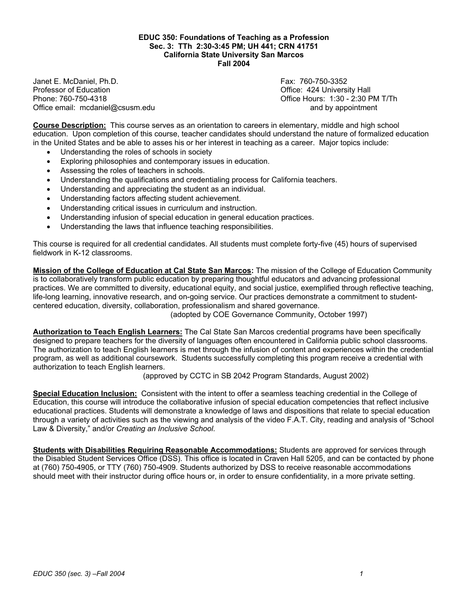## **EDUC 350: Foundations of Teaching as a Profession Sec. 3: TTh 2:30-3:45 PM; UH 441; CRN 41751 California State University San Marcos Fall 2004**

Janet E. McDaniel, Ph.D. Fax: 760-750-3352 Phone: 760-750-4318 Office Hours: 1:30 - 2:30 PM T/Th Office email: mcdaniel@csusm.edu and by appointment

Office: 424 University Hall

**Course Description:** This course serves as an orientation to careers in elementary, middle and high school education. Upon completion of this course, teacher candidates should understand the nature of formalized education in the United States and be able to asses his or her interest in teaching as a career. Major topics include:

- Understanding the roles of schools in society
- Exploring philosophies and contemporary issues in education.
- Assessing the roles of teachers in schools.
- Understanding the qualifications and credentialing process for California teachers.
- Understanding and appreciating the student as an individual.
- Understanding factors affecting student achievement.
- Understanding critical issues in curriculum and instruction.
- Understanding infusion of special education in general education practices.
- Understanding the laws that influence teaching responsibilities.

This course is required for all credential candidates. All students must complete forty-five (45) hours of supervised fieldwork in K-12 classrooms.

**Mission of the College of Education at Cal State San Marcos:** The mission of the College of Education Community is to collaboratively transform public education by preparing thoughtful educators and advancing professional practices. We are committed to diversity, educational equity, and social justice, exemplified through reflective teaching, life-long learning, innovative research, and on-going service. Our practices demonstrate a commitment to studentcentered education, diversity, collaboration, professionalism and shared governance.

(adopted by COE Governance Community, October 1997)

**Authorization to Teach English Learners:** The Cal State San Marcos credential programs have been specifically designed to prepare teachers for the diversity of languages often encountered in California public school classrooms. The authorization to teach English learners is met through the infusion of content and experiences within the credential program, as well as additional coursework. Students successfully completing this program receive a credential with authorization to teach English learners.

(approved by CCTC in SB 2042 Program Standards, August 2002)

**Special Education Inclusion:** Consistent with the intent to offer a seamless teaching credential in the College of Education, this course will introduce the collaborative infusion of special education competencies that reflect inclusive educational practices. Students will demonstrate a knowledge of laws and dispositions that relate to special education through a variety of activities such as the viewing and analysis of the video F.A.T. City, reading and analysis of "School Law & Diversity," and/or *Creating an Inclusive School*.

**Students with Disabilities Requiring Reasonable Accommodations:** Students are approved for services through the Disabled Student Services Office (DSS). This office is located in Craven Hall 5205, and can be contacted by phone at (760) 750-4905, or TTY (760) 750-4909. Students authorized by DSS to receive reasonable accommodations should meet with their instructor during office hours or, in order to ensure confidentiality, in a more private setting.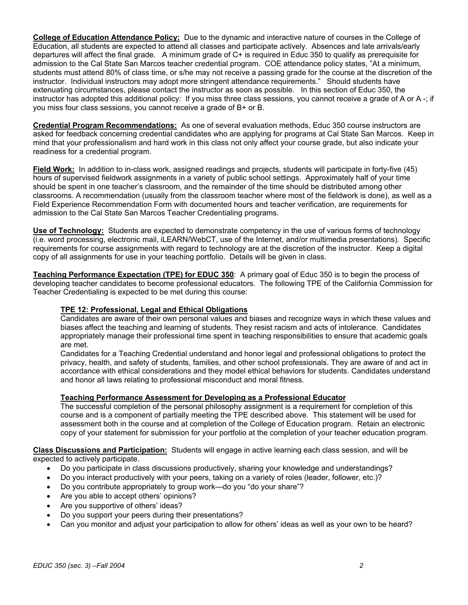**College of Education Attendance Policy:** Due to the dynamic and interactive nature of courses in the College of Education, all students are expected to attend all classes and participate actively. Absences and late arrivals/early departures will affect the final grade. A minimum grade of C+ is required in Educ 350 to qualify as prerequisite for admission to the Cal State San Marcos teacher credential program. COE attendance policy states, "At a minimum, students must attend 80% of class time, or s/he may not receive a passing grade for the course at the discretion of the instructor. Individual instructors may adopt more stringent attendance requirements." Should students have extenuating circumstances, please contact the instructor as soon as possible. In this section of Educ 350, the instructor has adopted this additional policy: If you miss three class sessions, you cannot receive a grade of A or A -; if you miss four class sessions, you cannot receive a grade of B+ or B.

**Credential Program Recommendations:** As one of several evaluation methods, Educ 350 course instructors are asked for feedback concerning credential candidates who are applying for programs at Cal State San Marcos. Keep in mind that your professionalism and hard work in this class not only affect your course grade, but also indicate your readiness for a credential program.

**Field Work:** In addition to in-class work, assigned readings and projects, students will participate in forty-five (45) hours of supervised fieldwork assignments in a variety of public school settings. Approximately half of your time should be spent in one teacher's classroom, and the remainder of the time should be distributed among other classrooms. A recommendation (usually from the classroom teacher where most of the fieldwork is done), as well as a Field Experience Recommendation Form with documented hours and teacher verification, are requirements for admission to the Cal State San Marcos Teacher Credentialing programs.

**Use of Technology:** Students are expected to demonstrate competency in the use of various forms of technology (i.e. word processing, electronic mail, iLEARN/WebCT, use of the Internet, and/or multimedia presentations). Specific requirements for course assignments with regard to technology are at the discretion of the instructor. Keep a digital copy of all assignments for use in your teaching portfolio. Details will be given in class.

**Teaching Performance Expectation (TPE) for EDUC 350**: A primary goal of Educ 350 is to begin the process of developing teacher candidates to become professional educators. The following TPE of the California Commission for Teacher Credentialing is expected to be met during this course:

# **TPE 12: Professional, Legal and Ethical Obligations**

Candidates are aware of their own personal values and biases and recognize ways in which these values and biases affect the teaching and learning of students. They resist racism and acts of intolerance. Candidates appropriately manage their professional time spent in teaching responsibilities to ensure that academic goals are met.

Candidates for a Teaching Credential understand and honor legal and professional obligations to protect the privacy, health, and safety of students, families, and other school professionals. They are aware of and act in accordance with ethical considerations and they model ethical behaviors for students. Candidates understand and honor all laws relating to professional misconduct and moral fitness.

# **Teaching Performance Assessment for Developing as a Professional Educator**

The successful completion of the personal philosophy assignment is a requirement for completion of this course and is a component of partially meeting the TPE described above. This statement will be used for assessment both in the course and at completion of the College of Education program. Retain an electronic copy of your statement for submission for your portfolio at the completion of your teacher education program.

**Class Discussions and Participation:** Students will engage in active learning each class session, and will be expected to actively participate.

- Do you participate in class discussions productively, sharing your knowledge and understandings?
- Do you interact productively with your peers, taking on a variety of roles (leader, follower, etc.)?
- Do you contribute appropriately to group work—do you "do your share"?
- Are you able to accept others' opinions?
- Are you supportive of others' ideas?
- Do you support your peers during their presentations?
- Can you monitor and adjust your participation to allow for others' ideas as well as your own to be heard?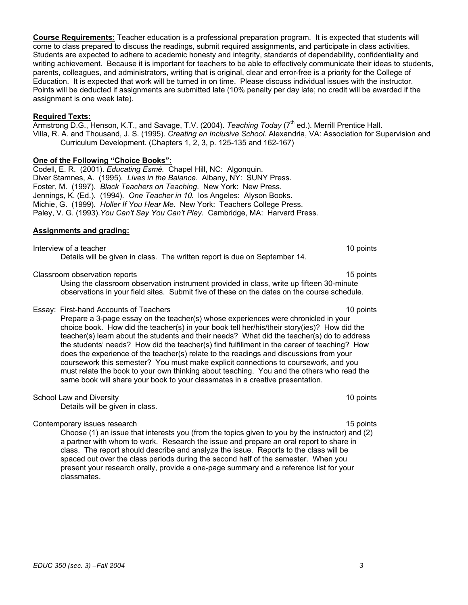**Course Requirements:** Teacher education is a professional preparation program. It is expected that students will come to class prepared to discuss the readings, submit required assignments, and participate in class activities. Students are expected to adhere to academic honesty and integrity, standards of dependability, confidentiality and writing achievement. Because it is important for teachers to be able to effectively communicate their ideas to students, parents, colleagues, and administrators, writing that is original, clear and error-free is a priority for the College of Education. It is expected that work will be turned in on time. Please discuss individual issues with the instructor. Points will be deducted if assignments are submitted late (10% penalty per day late; no credit will be awarded if the assignment is one week late).

## **Required Texts:**

Armstrong D.G., Henson, K.T., and Savage, T.V. (2004). *Teaching Today* (7<sup>th</sup> ed.). Merrill Prentice Hall. Villa, R. A. and Thousand, J. S. (1995). *Creating an Inclusive School.* Alexandria, VA: Association for Supervision and Curriculum Development. (Chapters 1, 2, 3, p. 125-135 and 162-167)

## **One of the Following "Choice Books":**

Codell, E. R. (2001). *Educating Esmé.* Chapel Hill, NC: Algonquin. Diver Stamnes, A. (1995). *Lives in the Balance.* Albany, NY: SUNY Press. Foster, M. (1997). *Black Teachers on Teaching*. New York: New Press. Jennings, K. (Ed.). (1994). *One Teacher in 10.* los Angeles: Alyson Books. Michie, G. (1999). *Holler If You Hear Me.* New York: Teachers College Press. Paley, V. G. (1993).*You Can't Say You Can't Play.* Cambridge, MA: Harvard Press.

### **Assignments and grading:**

Interview of a teacher 10 points and the set of the set of the set of the set of the set of the set of the set of the set of the set of the set of the set of the set of the set of the set of the set of the set of the set o Details will be given in class. The written report is due on September 14.

#### Classroom observation reports 15 points

Using the classroom observation instrument provided in class, write up fifteen 30-minute observations in your field sites. Submit five of these on the dates on the course schedule.

#### Essay: First-hand Accounts of Teachers 10 points

Prepare a 3-page essay on the teacher(s) whose experiences were chronicled in your choice book. How did the teacher(s) in your book tell her/his/their story(ies)? How did the teacher(s) learn about the students and their needs? What did the teacher(s) do to address the students' needs? How did the teacher(s) find fulfillment in the career of teaching? How does the experience of the teacher(s) relate to the readings and discussions from your coursework this semester? You must make explicit connections to coursework, and you must relate the book to your own thinking about teaching. You and the others who read the same book will share your book to your classmates in a creative presentation.

#### School Law and Diversity 10 points 10 points 10 points 10 points 10 points 10 points 10 points 10 points 10 points 10 points 10 points 10 points 10 points 10 points 10 points 10 points 10 points 10 points 10 points 10 poin

Details will be given in class.

Contemporary issues research 15 points and the contemporary issues research 15 points and 15 points of the contemporary issues research 15 points and 15 points of the contemporary issues research 15 points and 15 points of

Choose (1) an issue that interests you (from the topics given to you by the instructor) and (2) a partner with whom to work. Research the issue and prepare an oral report to share in class. The report should describe and analyze the issue. Reports to the class will be spaced out over the class periods during the second half of the semester. When you present your research orally, provide a one-page summary and a reference list for your classmates.